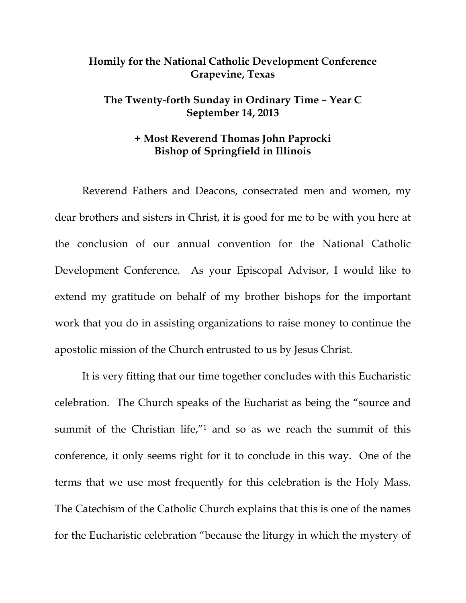## **Homily for the National Catholic Development Conference Grapevine, Texas**

## **The Twenty-forth Sunday in Ordinary Time – Year C September 14, 2013**

## **+ Most Reverend Thomas John Paprocki Bishop of Springfield in Illinois**

 Reverend Fathers and Deacons, consecrated men and women, my dear brothers and sisters in Christ, it is good for me to be with you here at the conclusion of our annual convention for the National Catholic Development Conference. As your Episcopal Advisor, I would like to extend my gratitude on behalf of my brother bishops for the important work that you do in assisting organizations to raise money to continue the apostolic mission of the Church entrusted to us by Jesus Christ.

 It is very fitting that our time together concludes with this Eucharistic celebration. The Church speaks of the Eucharist as being the "source and summit of the Christian life,"<sup>1</sup> and so as we reach the summit of this conference, it only seems right for it to conclude in this way. One of the terms that we use most frequently for this celebration is the Holy Mass. The Catechism of the Catholic Church explains that this is one of the names for the Eucharistic celebration "because the liturgy in which the mystery of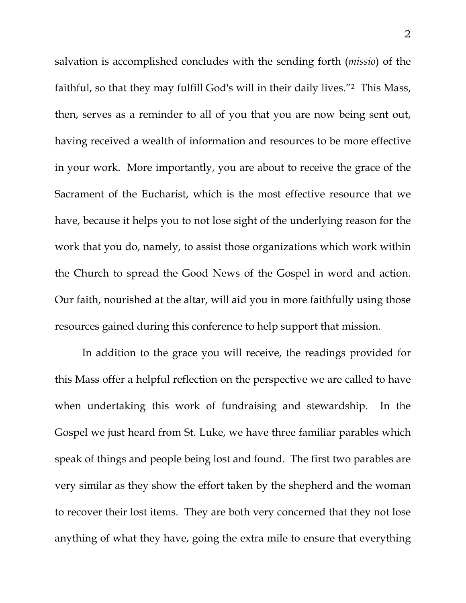salvation is accomplished concludes with the sending forth (*missio*) of the faithful, so that they may fulfill God's will in their daily lives."2 This Mass, then, serves as a reminder to all of you that you are now being sent out, having received a wealth of information and resources to be more effective in your work. More importantly, you are about to receive the grace of the Sacrament of the Eucharist, which is the most effective resource that we have, because it helps you to not lose sight of the underlying reason for the work that you do, namely, to assist those organizations which work within the Church to spread the Good News of the Gospel in word and action. Our faith, nourished at the altar, will aid you in more faithfully using those resources gained during this conference to help support that mission.

 In addition to the grace you will receive, the readings provided for this Mass offer a helpful reflection on the perspective we are called to have when undertaking this work of fundraising and stewardship. In the Gospel we just heard from St. Luke, we have three familiar parables which speak of things and people being lost and found. The first two parables are very similar as they show the effort taken by the shepherd and the woman to recover their lost items. They are both very concerned that they not lose anything of what they have, going the extra mile to ensure that everything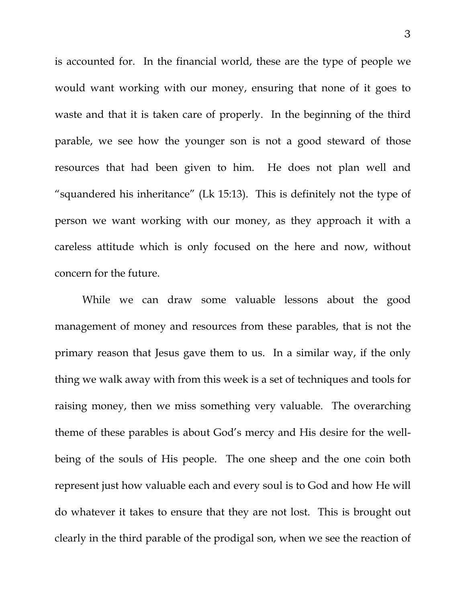is accounted for. In the financial world, these are the type of people we would want working with our money, ensuring that none of it goes to waste and that it is taken care of properly. In the beginning of the third parable, we see how the younger son is not a good steward of those resources that had been given to him. He does not plan well and "squandered his inheritance" (Lk 15:13). This is definitely not the type of person we want working with our money, as they approach it with a careless attitude which is only focused on the here and now, without concern for the future.

 While we can draw some valuable lessons about the good management of money and resources from these parables, that is not the primary reason that Jesus gave them to us. In a similar way, if the only thing we walk away with from this week is a set of techniques and tools for raising money, then we miss something very valuable. The overarching theme of these parables is about God's mercy and His desire for the wellbeing of the souls of His people. The one sheep and the one coin both represent just how valuable each and every soul is to God and how He will do whatever it takes to ensure that they are not lost. This is brought out clearly in the third parable of the prodigal son, when we see the reaction of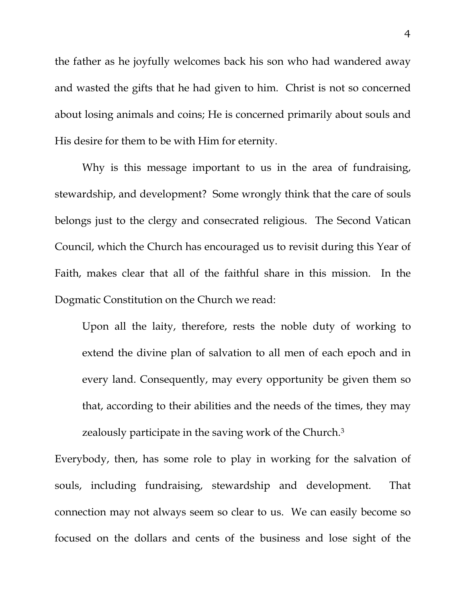the father as he joyfully welcomes back his son who had wandered away and wasted the gifts that he had given to him. Christ is not so concerned about losing animals and coins; He is concerned primarily about souls and His desire for them to be with Him for eternity.

 Why is this message important to us in the area of fundraising, stewardship, and development? Some wrongly think that the care of souls belongs just to the clergy and consecrated religious. The Second Vatican Council, which the Church has encouraged us to revisit during this Year of Faith, makes clear that all of the faithful share in this mission. In the Dogmatic Constitution on the Church we read:

Upon all the laity, therefore, rests the noble duty of working to extend the divine plan of salvation to all men of each epoch and in every land. Consequently, may every opportunity be given them so that, according to their abilities and the needs of the times, they may zealously participate in the saving work of the Church.3

Everybody, then, has some role to play in working for the salvation of souls, including fundraising, stewardship and development. That connection may not always seem so clear to us. We can easily become so focused on the dollars and cents of the business and lose sight of the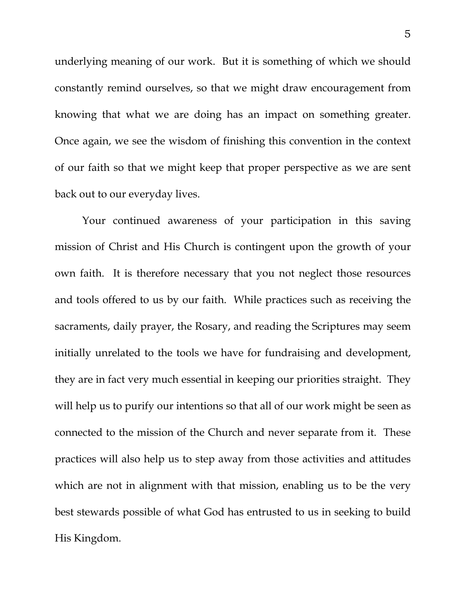underlying meaning of our work. But it is something of which we should constantly remind ourselves, so that we might draw encouragement from knowing that what we are doing has an impact on something greater. Once again, we see the wisdom of finishing this convention in the context of our faith so that we might keep that proper perspective as we are sent back out to our everyday lives.

Your continued awareness of your participation in this saving mission of Christ and His Church is contingent upon the growth of your own faith. It is therefore necessary that you not neglect those resources and tools offered to us by our faith. While practices such as receiving the sacraments, daily prayer, the Rosary, and reading the Scriptures may seem initially unrelated to the tools we have for fundraising and development, they are in fact very much essential in keeping our priorities straight. They will help us to purify our intentions so that all of our work might be seen as connected to the mission of the Church and never separate from it. These practices will also help us to step away from those activities and attitudes which are not in alignment with that mission, enabling us to be the very best stewards possible of what God has entrusted to us in seeking to build His Kingdom.